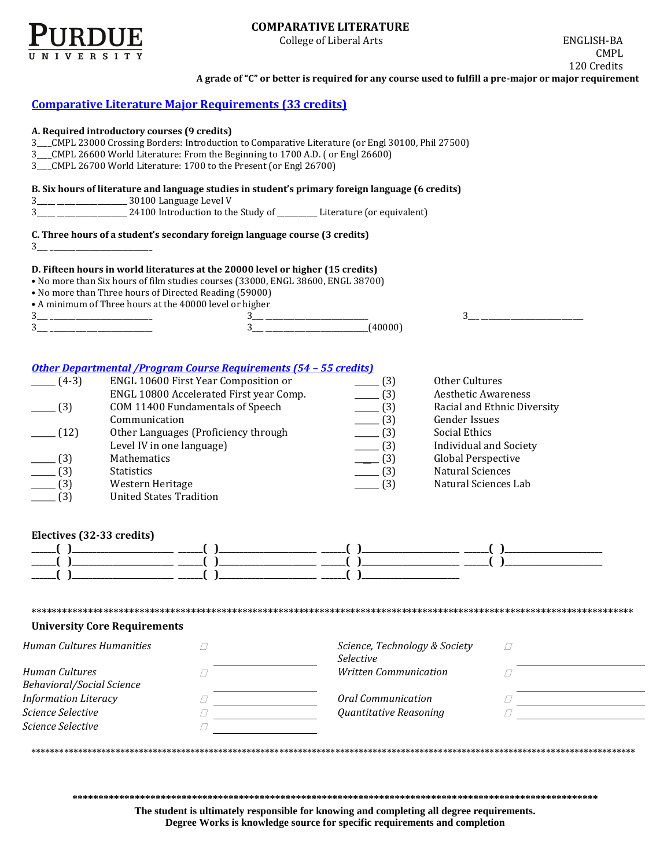

# **COMPARATIVE LITERATURE**

College of Liberal Arts ENGLISH-BA

CMPL 120 Credits

**A grade of "C" or better is required for any course used to fulfill a pre-major or major requirement** 

# **[Comparative Literature Major Requirements](http://www.cla.purdue.edu/academics/programs/pos/CMPL199330.pdf) (33 credits)**

#### **A. Required introductory courses (9 credits)**

3\_\_\_\_CMPL 23000 Crossing Borders: Introduction to Comparative Literature (or Engl 30100, Phil 27500)

- 3\_\_\_\_CMPL 26600 World Literature: From the Beginning to 1700 A.D. ( or Engl 26600)
- 3\_\_\_\_CMPL 26700 World Literature: 1700 to the Present (or Engl 26700)

#### **B. Six hours of literature and language studies in student's primary foreign language (6 credits)**

- 3\_\_\_\_\_ \_\_\_\_\_\_\_\_\_\_\_\_\_\_\_\_\_\_\_ 30100 Language Level V
- 3\_\_\_\_\_ \_\_\_\_\_\_\_\_\_\_\_\_\_\_\_\_\_\_\_ 24100 Introduction to the Study of \_\_\_\_\_\_\_\_\_\_\_ Literature (or equivalent)

## **C. Three hours of a student's secondary foreign language course (3 credits)**

3\_\_\_ \_\_\_\_\_\_\_\_\_\_\_\_\_\_\_\_\_\_\_\_\_\_\_\_\_\_\_\_

### **D. Fifteen hours in world literatures at the 20000 level or higher (15 credits)**

• No more than Six hours of film studies courses (33000, ENGL 38600, ENGL 38700)

- No more than Three hours of Directed Reading (59000)
- A minimum of Three hours at the 40000 level or higher

| c<br>◡<br>___________<br>______ | ______<br>___________<br><b>STATE OF BUILDING</b> |  |
|---------------------------------|---------------------------------------------------|--|
| c<br>◡<br>_________<br>______   | __________                                        |  |

3\_\_\_ \_\_\_\_\_\_\_\_\_\_\_\_\_\_\_\_\_\_\_\_\_\_\_\_\_\_\_\_

## *[Other Departmental /Program Course Requirements \(54](http://www.cla.purdue.edu/academics/programs/pos/core201210v3.pdf) – 55 credits)*

| $(4-3)$              | ENGL 10600 First Year Composition or    | (3)                      | Other Cultures                |
|----------------------|-----------------------------------------|--------------------------|-------------------------------|
|                      | ENGL 10800 Accelerated First year Comp. | $\frac{1}{2}$ (3)        | <b>Aesthetic Awareness</b>    |
| $-$ (3)              | COM 11400 Fundamentals of Speech        | $\frac{1}{2}$ (3)        | Racial and Ethnic Diversity   |
|                      | Communication                           | $\frac{1}{2}$ (3)        | <b>Gender Issues</b>          |
| (12)                 | Other Languages (Proficiency through    | $-$ (3)                  | Social Ethics                 |
|                      | Level IV in one language)               | $\frac{1}{2}$ (3)        | <b>Individual and Society</b> |
| $\sqrt{(3)}$         | Mathematics                             | $-$ (3)                  | Global Perspective            |
| $-$ (3)              | <b>Statistics</b>                       | $\frac{1}{2}$ (3)        | Natural Sciences              |
| $\frac{1}{\sqrt{3}}$ | Western Heritage                        | $\frac{1}{\sqrt{3}}$ (3) | Natural Sciences Lab          |
| $\sqrt{(3)}$         | <b>United States Tradition</b>          |                          |                               |

## **Electives (32-33 credits)**

| ______ | ___________ | ______  | ______ |
|--------|-------------|---------|--------|
| ______ |             | _______ |        |
|        | _____       |         | ______ |
| ______ |             |         |        |
|        | --------    | _______ |        |

#### **University Core Requirements**

| Human Cultures Humanities                   | Science, Technology & Society<br><i>Selective</i> |  |
|---------------------------------------------|---------------------------------------------------|--|
| Human Cultures<br>Behavioral/Social Science | <i>Written Communication</i>                      |  |
| <b>Information Literacy</b>                 | Oral Communication                                |  |
| Science Selective                           | Quantitative Reasoning                            |  |
| Science Selective                           |                                                   |  |

\*\*\*\*\*\*\*\*\*\*\*\*\*\*\*\*\*\*\*\*\*\*\*\*\*\*\*\*\*\*\*\*\*\*\*\*\*\*\*\*\*\*\*\*\*\*\*\*\*\*\*\*\*\*\*\*\*\*\*\*\*\*\*\*\*\*\*\*\*\*\*\*\*\*\*\*\*\*\*\*\*\*\*\*\*\*\*\*\*\*\*\*\*\*\*\*\*\*\*\*\*\*\*\*\*\*\*\*\*\*\*\*\*\*\*\*\*

**\*\*\*\*\*\*\*\*\*\*\*\*\*\*\*\*\*\*\*\*\*\*\*\*\*\*\*\*\*\*\*\*\*\*\*\*\*\*\*\*\*\*\*\*\*\*\*\*\*\*\*\*\*\*\*\*\*\*\*\*\*\*\*\*\*\*\*\*\*\*\*\*\*\*\*\*\*\*\*\*\*\*\*\*\*\*\*\*\*\*\*\*\*\*\*\*\*\*\*\*\***

\*\*\*\*\*\*\*\*\*\*\*\*\*\*\*\*\*\*\*\*\*\*\*\*\*\*\*\*\*\*\*\*\*\*\*\*\*\*\*\*\*\*\*\*\*\*\*\*\*\*\*\*\*\*\*\*\*\*\*\*\*\*\*\*\*\*\*\*\*\*\*\*\*\*\*\*\*\*\*\*\*\*\*\*\*\*\*\*\*\*\*\*\*\*\*\*\*\*\*\*\*\*\*\*\*\*\*\*\*\*\*\*\*\*\*\*\*\*\*\*\*\*\*\*\*\*\*\*\*

**The student is ultimately responsible for knowing and completing all degree requirements. Degree Works is knowledge source for specific requirements and completion**